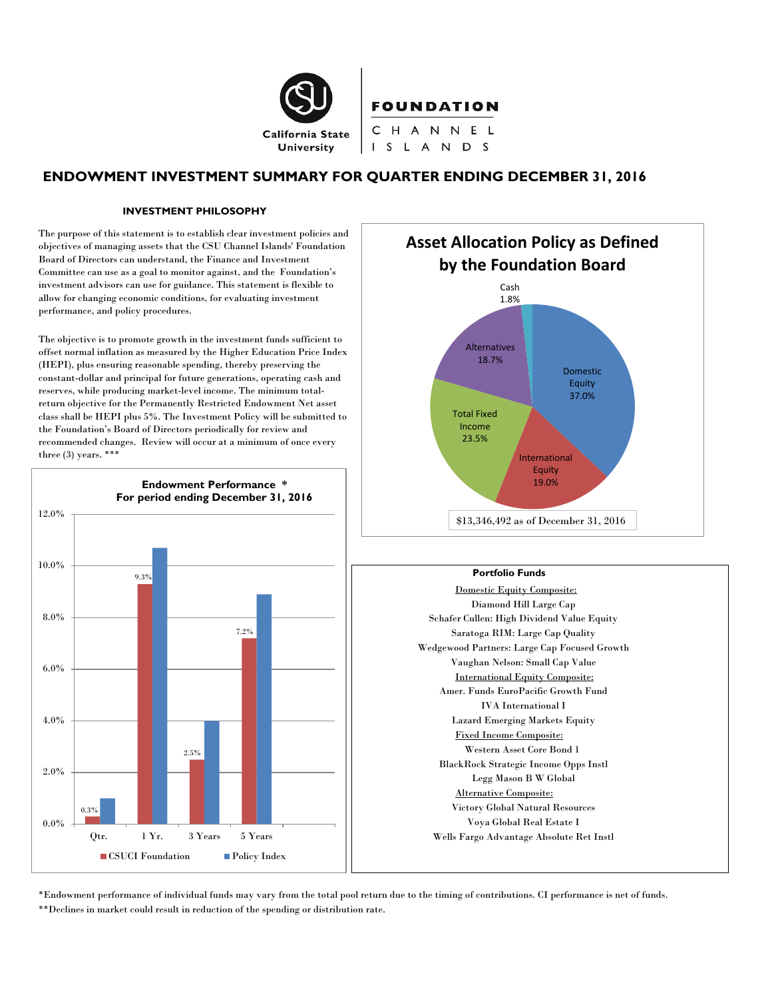

# **ENDOWMENT INVESTMENT SUMMARY FOR QUARTER ENDING DECEMBER 31, 2016**

#### **INVESTMENT PHILOSOPHY**

The purpose of this statement is to establish clear investment policies and objectives of managing assets that the CSU Channel Islands' Foundation Board of Directors can understand, the Finance and Investment Committee can use as a goal to monitor against, and the Foundation's investment advisors can use for guidance. This statement is flexible to allow for changing economic conditions, for evaluating investment performance, and policy procedures.

The objective is to promote growth in the investment funds sufficient to offset normal inflation as measured by the Higher Education Price Index (HEPI), plus ensuring reasonable spending, thereby preserving the constant-dollar and principal for future generations, operating cash and reserves, while producing market-level income. The minimum totalreturn objective for the Permanently Restricted Endowment Net asset class shall be HEPI plus 5%. The Investment Policy will be submitted to the Foundation's Board of Directors periodically for review and recommended changes. Review will occur at a minimum of once every three (3) years. \*\*\*





#### **Portfolio Funds**

Domestic Equity Composite: Diamond Hill Large Cap Schafer Cullen: High Dividend Value Equity Saratoga RIM: Large Cap Quality Wedgewood Partners: Large Cap Focused Growth Vaughan Nelson: Small Cap Value International Equity Composite: Amer. Funds EuroPacific Growth Fund IVA International I Lazard Emerging Markets Equity Fixed Income Composite: Western Asset Core Bond 1 BlackRock Strategic Income Opps Instl Legg Mason B W Global Alternative Composite: Victory Global Natural Resources Voya Global Real Estate I Wells Fargo Advantage Absolute Ret Instl

\*Endowment performance of individual funds may vary from the total pool return due to the timing of contributions. CI performance is net of funds. \*\*Declines in market could result in reduction of the spending or distribution rate.